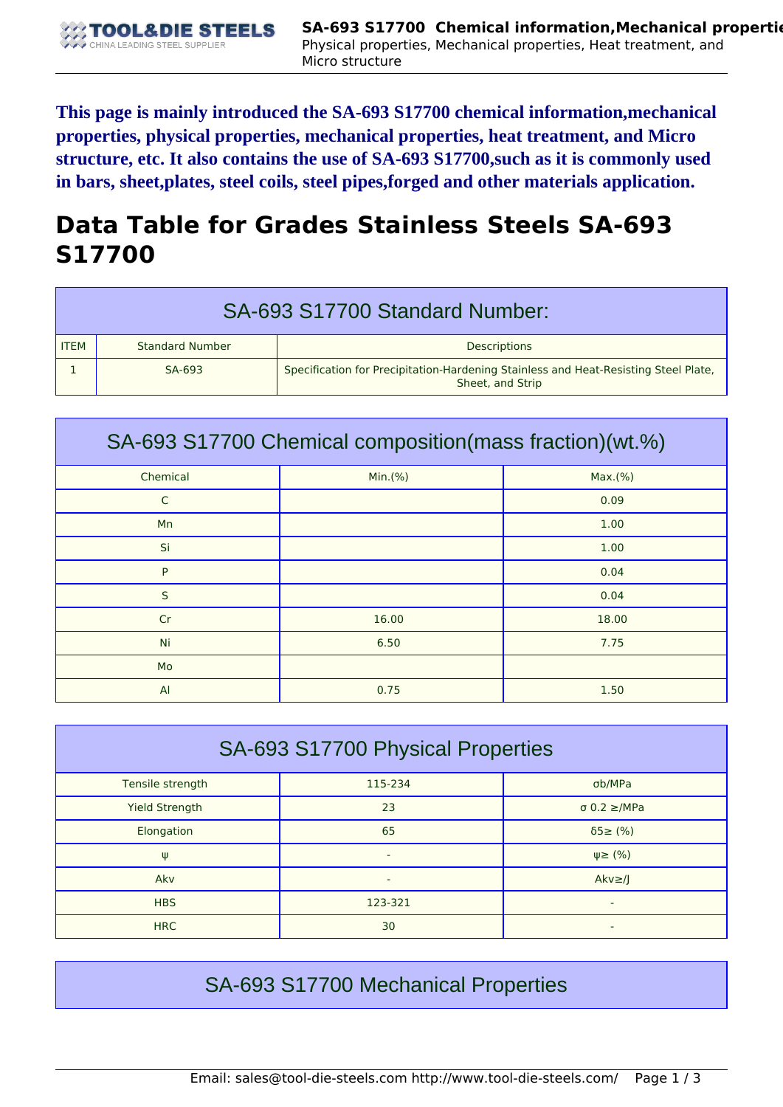**This page is mainly introduced the SA-693 S17700 chemical information,mechanical properties, physical properties, mechanical properties, heat treatment, and Micro structure, etc. It also contains the use of SA-693 S17700,such as it is commonly used in bars, sheet,plates, steel coils, steel pipes,forged and other materials application.**

## **Data Table for Grades Stainless Steels SA-693 S17700**

| SA-693 S17700 Standard Number: |                        |                                                                                                         |  |
|--------------------------------|------------------------|---------------------------------------------------------------------------------------------------------|--|
| <b>ITEM</b>                    | <b>Standard Number</b> | <b>Descriptions</b>                                                                                     |  |
|                                | SA-693                 | Specification for Precipitation-Hardening Stainless and Heat-Resisting Steel Plate,<br>Sheet, and Strip |  |

| SA-693 S17700 Chemical composition(mass fraction)(wt.%) |         |         |  |  |
|---------------------------------------------------------|---------|---------|--|--|
| Chemical                                                | Min.(%) | Max.(%) |  |  |
| C                                                       |         | 0.09    |  |  |
| Mn                                                      |         | 1.00    |  |  |
| Si                                                      |         | 1.00    |  |  |
| P                                                       |         | 0.04    |  |  |
| S                                                       |         | 0.04    |  |  |
| Cr                                                      | 16.00   | 18.00   |  |  |
| Ni                                                      | 6.50    | 7.75    |  |  |
| Mo                                                      |         |         |  |  |
| $\overline{A}$                                          | 0.75    | 1.50    |  |  |

| SA-693 S17700 Physical Properties |         |                          |  |  |
|-----------------------------------|---------|--------------------------|--|--|
| Tensile strength                  | 115-234 | σb/MPa                   |  |  |
| <b>Yield Strength</b>             | 23      | $\sigma$ 0.2 $\geq$ /MPa |  |  |
| Elongation                        | 65      | $\delta$ 5 $\geq$ (%)    |  |  |
| Ψ                                 | ۰       | $\psi \geq (\% )$        |  |  |
| Akv                               | ۰       | $Akv \geq l$             |  |  |
| <b>HBS</b>                        | 123-321 | ٠                        |  |  |
| <b>HRC</b>                        | 30      |                          |  |  |

## SA-693 S17700 Mechanical Properties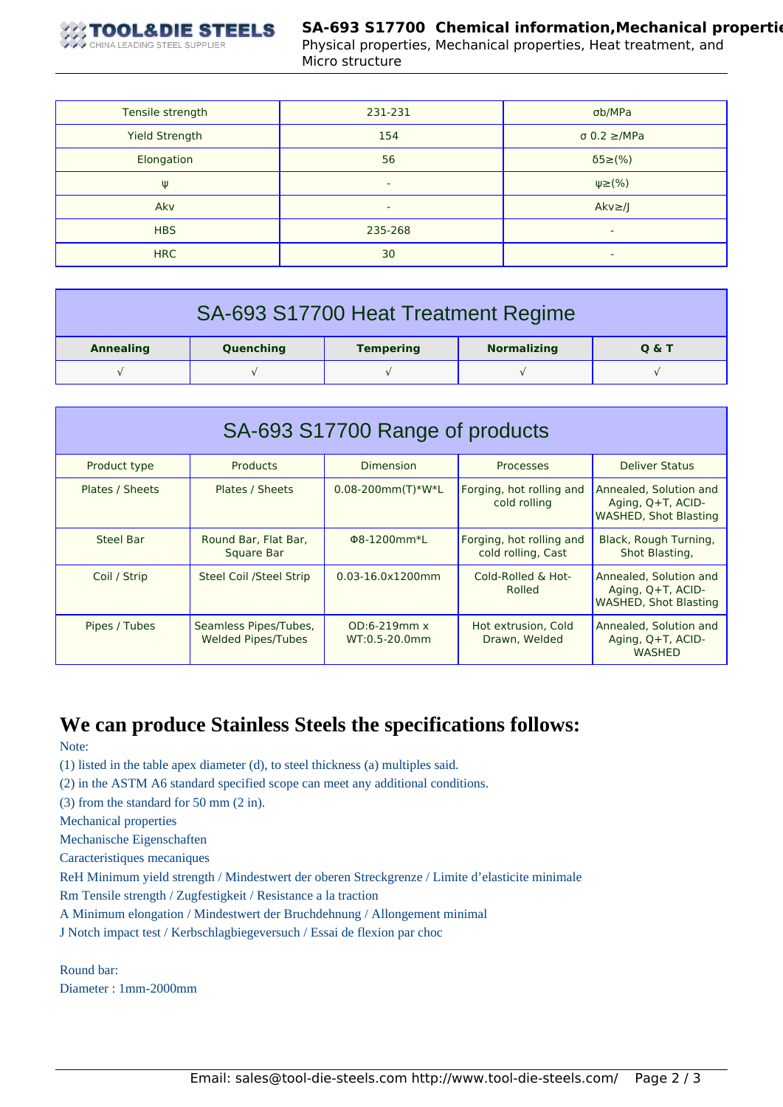

Physical properties, Mechanical properties, Heat treatment, and Micro structure

| Tensile strength      | 231-231 | σb/MPa                   |
|-----------------------|---------|--------------------------|
| <b>Yield Strength</b> | 154     | $\sigma$ 0.2 $\geq$ /MPa |
| Elongation            | 56      | $\delta$ 5 $\geq$ (%)    |
| Ψ                     | -       | $\psi \geq (\%)$         |
| Akv                   | ۰       | $Akv \geq /J$            |
| <b>HBS</b>            | 235-268 | ٠                        |
| <b>HRC</b>            | 30      | ٠                        |

| SA-693 S17700 Heat Treatment Regime |           |                  |                    |       |  |
|-------------------------------------|-----------|------------------|--------------------|-------|--|
| <b>Annealing</b>                    | Quenching | <b>Tempering</b> | <b>Normalizing</b> | 0 & T |  |
|                                     |           |                  |                    |       |  |

| SA-693 S17700 Range of products |                                                    |                                      |                                                |                                                                             |
|---------------------------------|----------------------------------------------------|--------------------------------------|------------------------------------------------|-----------------------------------------------------------------------------|
| Product type                    | <b>Products</b>                                    | Dimension                            | Processes                                      | <b>Deliver Status</b>                                                       |
| Plates / Sheets                 | Plates / Sheets                                    | $0.08 - 200$ mm $(T)$ *W*L           | Forging, hot rolling and<br>cold rolling       | Annealed, Solution and<br>Aging, Q+T, ACID-<br><b>WASHED, Shot Blasting</b> |
| Steel Bar                       | Round Bar, Flat Bar,<br>Square Bar                 | Φ8-1200mm*L                          | Forging, hot rolling and<br>cold rolling, Cast | Black, Rough Turning,<br>Shot Blasting,                                     |
| Coil / Strip                    | <b>Steel Coil /Steel Strip</b>                     | $0.03 - 16.0 \times 1200$ mm         | Cold-Rolled & Hot-<br>Rolled                   | Annealed, Solution and<br>Aging, Q+T, ACID-<br><b>WASHED, Shot Blasting</b> |
| Pipes / Tubes                   | Seamless Pipes/Tubes,<br><b>Welded Pipes/Tubes</b> | $OD:6-219mm \times$<br>WT:0.5-20.0mm | Hot extrusion, Cold<br>Drawn, Welded           | Annealed, Solution and<br>Aging, Q+T, ACID-<br><b>WASHED</b>                |

## **We can produce Stainless Steels the specifications follows:**

Note:

(1) listed in the table apex diameter (d), to steel thickness (a) multiples said.

(2) in the ASTM A6 standard specified scope can meet any additional conditions.

(3) from the standard for 50 mm (2 in).

Mechanical properties

Mechanische Eigenschaften

Caracteristiques mecaniques

ReH Minimum yield strength / Mindestwert der oberen Streckgrenze / Limite d'elasticite minimale

Rm Tensile strength / Zugfestigkeit / Resistance a la traction

A Minimum elongation / Mindestwert der Bruchdehnung / Allongement minimal

J Notch impact test / Kerbschlagbiegeversuch / Essai de flexion par choc

Round bar: Diameter : 1mm-2000mm